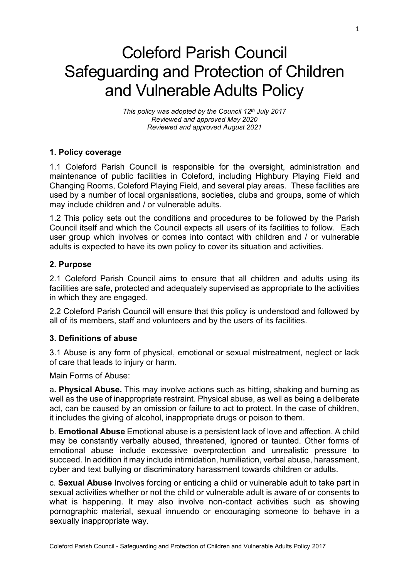# Coleford Parish Council Safeguarding and Protection of Children and Vulnerable Adults Policy

*This policy was adopted by the Council 12th July 2017 Reviewed and approved May 2020 Reviewed and approved August 2021*

## **1. Policy coverage**

1.1 Coleford Parish Council is responsible for the oversight, administration and maintenance of public facilities in Coleford, including Highbury Playing Field and Changing Rooms, Coleford Playing Field, and several play areas. These facilities are used by a number of local organisations, societies, clubs and groups, some of which may include children and / or vulnerable adults.

1.2 This policy sets out the conditions and procedures to be followed by the Parish Council itself and which the Council expects all users of its facilities to follow. Each user group which involves or comes into contact with children and / or vulnerable adults is expected to have its own policy to cover its situation and activities.

## **2. Purpose**

2.1 Coleford Parish Council aims to ensure that all children and adults using its facilities are safe, protected and adequately supervised as appropriate to the activities in which they are engaged.

2.2 Coleford Parish Council will ensure that this policy is understood and followed by all of its members, staff and volunteers and by the users of its facilities.

## **3. Definitions of abuse**

3.1 Abuse is any form of physical, emotional or sexual mistreatment, neglect or lack of care that leads to injury or harm.

Main Forms of Abuse:

a**. Physical Abuse.** This may involve actions such as hitting, shaking and burning as well as the use of inappropriate restraint. Physical abuse, as well as being a deliberate act, can be caused by an omission or failure to act to protect. In the case of children, it includes the giving of alcohol, inappropriate drugs or poison to them.

b. **Emotional Abuse** Emotional abuse is a persistent lack of love and affection. A child may be constantly verbally abused, threatened, ignored or taunted. Other forms of emotional abuse include excessive overprotection and unrealistic pressure to succeed. In addition it may include intimidation, humiliation, verbal abuse, harassment, cyber and text bullying or discriminatory harassment towards children or adults.

c. **Sexual Abuse** Involves forcing or enticing a child or vulnerable adult to take part in sexual activities whether or not the child or vulnerable adult is aware of or consents to what is happening. It may also involve non-contact activities such as showing pornographic material, sexual innuendo or encouraging someone to behave in a sexually inappropriate way.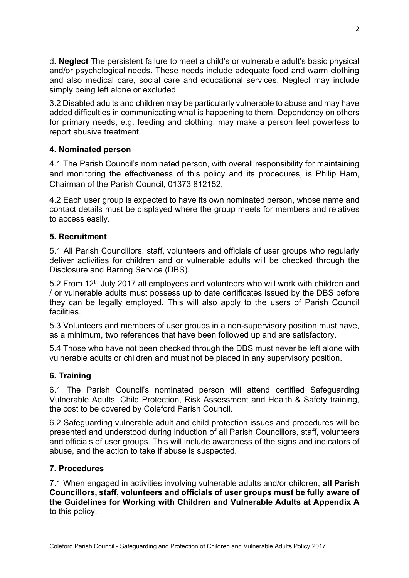d**. Neglect** The persistent failure to meet a child's or vulnerable adult's basic physical and/or psychological needs. These needs include adequate food and warm clothing and also medical care, social care and educational services. Neglect may include simply being left alone or excluded.

3.2 Disabled adults and children may be particularly vulnerable to abuse and may have added difficulties in communicating what is happening to them. Dependency on others for primary needs, e.g. feeding and clothing, may make a person feel powerless to report abusive treatment.

# **4. Nominated person**

4.1 The Parish Council's nominated person, with overall responsibility for maintaining and monitoring the effectiveness of this policy and its procedures, is Philip Ham, Chairman of the Parish Council, 01373 812152,

4.2 Each user group is expected to have its own nominated person, whose name and contact details must be displayed where the group meets for members and relatives to access easily.

## **5. Recruitment**

5.1 All Parish Councillors, staff, volunteers and officials of user groups who regularly deliver activities for children and or vulnerable adults will be checked through the Disclosure and Barring Service (DBS).

5.2 From 12<sup>th</sup> July 2017 all employees and volunteers who will work with children and / or vulnerable adults must possess up to date certificates issued by the DBS before they can be legally employed. This will also apply to the users of Parish Council facilities.

5.3 Volunteers and members of user groups in a non-supervisory position must have, as a minimum, two references that have been followed up and are satisfactory.

5.4 Those who have not been checked through the DBS must never be left alone with vulnerable adults or children and must not be placed in any supervisory position.

## **6. Training**

6.1 The Parish Council's nominated person will attend certified Safeguarding Vulnerable Adults, Child Protection, Risk Assessment and Health & Safety training, the cost to be covered by Coleford Parish Council.

6.2 Safeguarding vulnerable adult and child protection issues and procedures will be presented and understood during induction of all Parish Councillors, staff, volunteers and officials of user groups. This will include awareness of the signs and indicators of abuse, and the action to take if abuse is suspected.

## **7. Procedures**

7.1 When engaged in activities involving vulnerable adults and/or children, **all Parish Councillors, staff, volunteers and officials of user groups must be fully aware of the Guidelines for Working with Children and Vulnerable Adults at Appendix A** to this policy.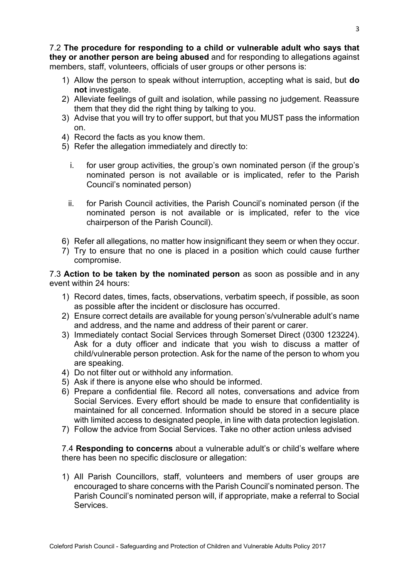7.2 **The procedure for responding to a child or vulnerable adult who says that they or another person are being abused** and for responding to allegations against members, staff, volunteers, officials of user groups or other persons is:

- 1) Allow the person to speak without interruption, accepting what is said, but **do not** investigate.
- 2) Alleviate feelings of guilt and isolation, while passing no judgement. Reassure them that they did the right thing by talking to you.
- 3) Advise that you will try to offer support, but that you MUST pass the information on.
- 4) Record the facts as you know them.
- 5) Refer the allegation immediately and directly to:
	- i. for user group activities, the group's own nominated person (if the group's nominated person is not available or is implicated, refer to the Parish Council's nominated person)
	- ii. for Parish Council activities, the Parish Council's nominated person (if the nominated person is not available or is implicated, refer to the vice chairperson of the Parish Council).
- 6) Refer all allegations, no matter how insignificant they seem or when they occur.
- 7) Try to ensure that no one is placed in a position which could cause further compromise.

7.3 **Action to be taken by the nominated person** as soon as possible and in any event within 24 hours:

- 1) Record dates, times, facts, observations, verbatim speech, if possible, as soon as possible after the incident or disclosure has occurred.
- 2) Ensure correct details are available for young person's/vulnerable adult's name and address, and the name and address of their parent or carer.
- 3) Immediately contact Social Services through Somerset Direct (0300 123224). Ask for a duty officer and indicate that you wish to discuss a matter of child/vulnerable person protection. Ask for the name of the person to whom you are speaking.
- 4) Do not filter out or withhold any information.
- 5) Ask if there is anyone else who should be informed.
- 6) Prepare a confidential file. Record all notes, conversations and advice from Social Services. Every effort should be made to ensure that confidentiality is maintained for all concerned. Information should be stored in a secure place with limited access to designated people, in line with data protection legislation.
- 7) Follow the advice from Social Services. Take no other action unless advised

7.4 **Responding to concerns** about a vulnerable adult's or child's welfare where there has been no specific disclosure or allegation:

1) All Parish Councillors, staff, volunteers and members of user groups are encouraged to share concerns with the Parish Council's nominated person. The Parish Council's nominated person will, if appropriate, make a referral to Social **Services**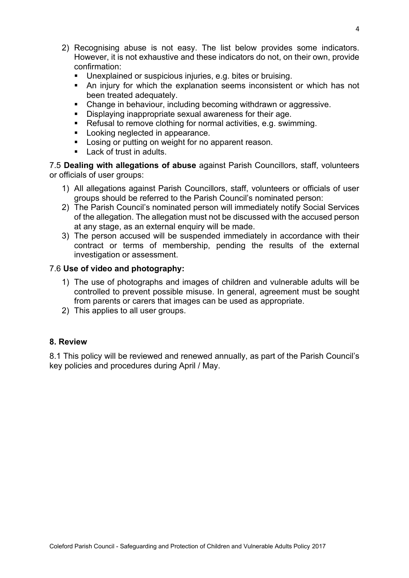- 2) Recognising abuse is not easy. The list below provides some indicators. However, it is not exhaustive and these indicators do not, on their own, provide confirmation:
	- Unexplained or suspicious injuries, e.g. bites or bruising.
	- An injury for which the explanation seems inconsistent or which has not been treated adequately.
	- Change in behaviour, including becoming withdrawn or aggressive.
	- Displaying inappropriate sexual awareness for their age.
	- Refusal to remove clothing for normal activities, e.g. swimming.
	- Looking neglected in appearance.
	- Losing or putting on weight for no apparent reason.
	- Lack of trust in adults.

7.5 **Dealing with allegations of abuse** against Parish Councillors, staff, volunteers or officials of user groups:

- 1) All allegations against Parish Councillors, staff, volunteers or officials of user groups should be referred to the Parish Council's nominated person:
- 2) The Parish Council's nominated person will immediately notify Social Services of the allegation. The allegation must not be discussed with the accused person at any stage, as an external enquiry will be made.
- 3) The person accused will be suspended immediately in accordance with their contract or terms of membership, pending the results of the external investigation or assessment.

## 7.6 **Use of video and photography:**

- 1) The use of photographs and images of children and vulnerable adults will be controlled to prevent possible misuse. In general, agreement must be sought from parents or carers that images can be used as appropriate.
- 2) This applies to all user groups.

#### **8. Review**

8.1 This policy will be reviewed and renewed annually, as part of the Parish Council's key policies and procedures during April / May.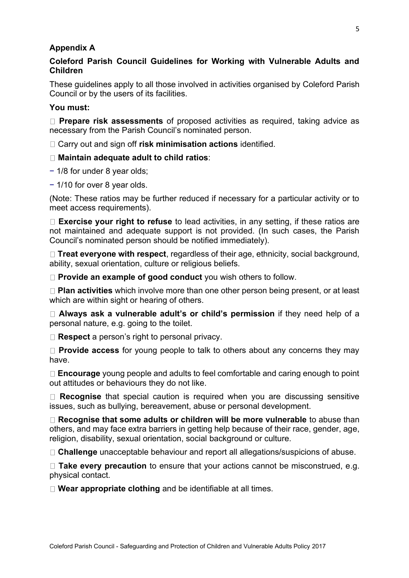#### **Appendix A**

## **Coleford Parish Council Guidelines for Working with Vulnerable Adults and Children**

These guidelines apply to all those involved in activities organised by Coleford Parish Council or by the users of its facilities.

#### **You must:**

**Prepare risk assessments** of proposed activities as required, taking advice as necessary from the Parish Council's nominated person.

Carry out and sign off **risk minimisation actions** identified.

#### **Maintain adequate adult to child ratios**:

- − 1/8 for under 8 year olds;
- − 1/10 for over 8 year olds.

(Note: These ratios may be further reduced if necessary for a particular activity or to meet access requirements).

**Exercise your right to refuse** to lead activities, in any setting, if these ratios are not maintained and adequate support is not provided. (In such cases, the Parish Council's nominated person should be notified immediately).

**Treat everyone with respect**, regardless of their age, ethnicity, social background, ability, sexual orientation, culture or religious beliefs.

**Provide an example of good conduct** you wish others to follow.

**Plan activities** which involve more than one other person being present, or at least which are within sight or hearing of others.

**Always ask a vulnerable adult's or child's permission** if they need help of a personal nature, e.g. going to the toilet.

□ **Respect** a person's right to personal privacy.

**Provide access** for young people to talk to others about any concerns they may have.

**Encourage** young people and adults to feel comfortable and caring enough to point out attitudes or behaviours they do not like.

**Recognise** that special caution is required when you are discussing sensitive issues, such as bullying, bereavement, abuse or personal development.

**Recognise that some adults or children will be more vulnerable** to abuse than others, and may face extra barriers in getting help because of their race, gender, age, religion, disability, sexual orientation, social background or culture.

**Challenge** unacceptable behaviour and report all allegations/suspicions of abuse.

□ **Take every precaution** to ensure that your actions cannot be misconstrued, e.g. physical contact.

**Wear appropriate clothing** and be identifiable at all times.